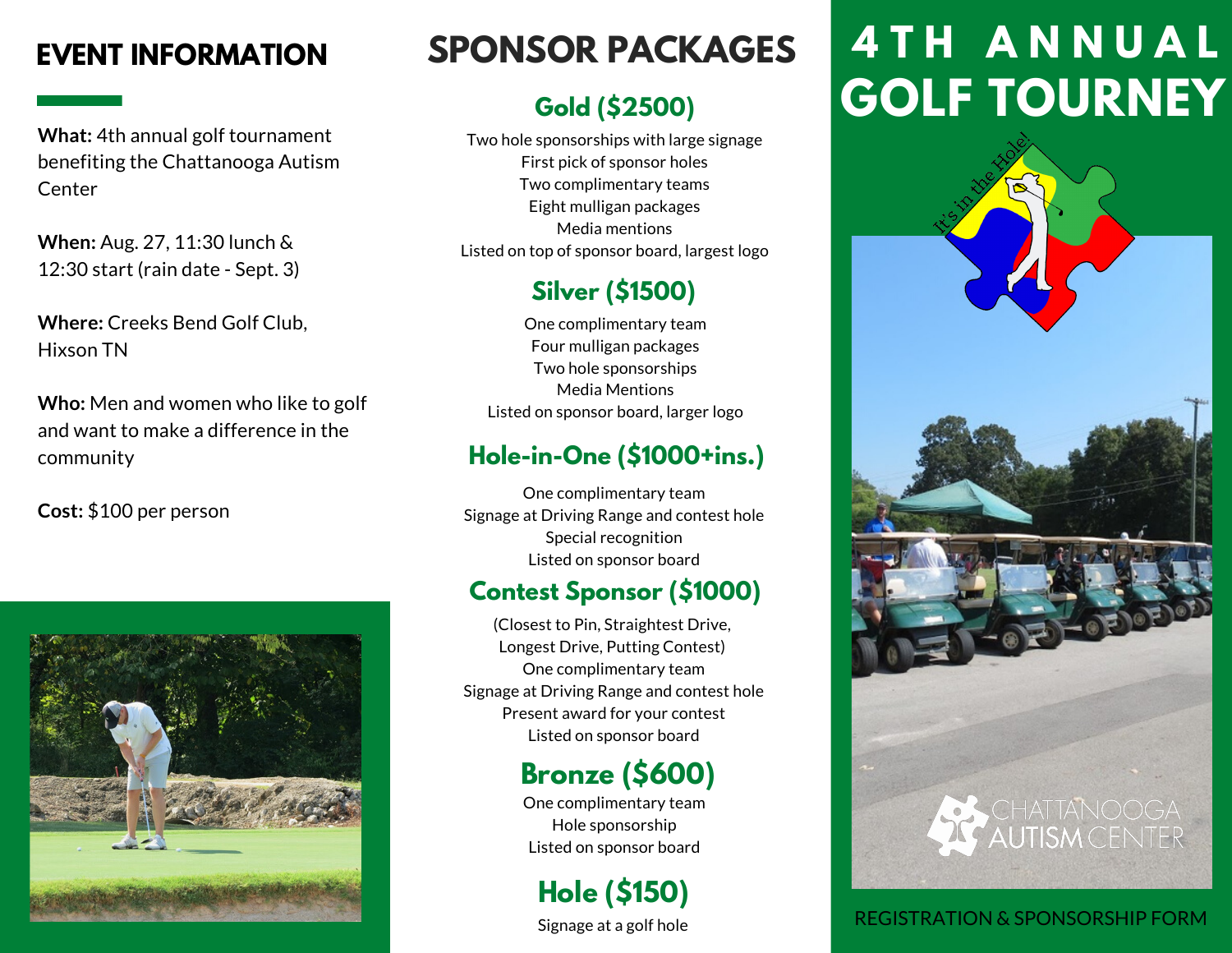**What:** 4th annual golf tournament benefiting the Chattanooga Autism **Center** 

**When:** Aug. 27, 11:30 lunch & 12:30 start (rain date - Sept. 3)

**Where:** Creeks Bend Golf Club, Hixson TN

**Who:** Men and women who like to golf and want to make a difference in the community

**Cost:** \$100 per person



### **Gold (\$2500)**

Two hole sponsorships with large signage First pick of sponsor holes Two complimentary teams Eight mulligan packages Media mentions Listed on top of sponsor board, largest logo

### **Silver (\$1500)**

One complimentary team Four mulligan packages Two hole sponsorships Media Mentions Listed on sponsor board, larger logo

#### **Hole-in-One (\$1000+ins.)**

One complimentary team Signage at Driving Range and contest hole Special recognition Listed on sponsor board

#### **Contest Sponsor (\$1000)**

(Closest to Pin, Straightest Drive, Longest Drive, Putting Contest) One complimentary team Signage at Driving Range and contest hole Present award for your contest Listed on sponsor board

## **Bronze (\$600)**

One complimentary team Hole sponsorship Listed on sponsor board

**Hole (\$150)**

Signage at a golf hole

# **EVENT INFORMATION 4 T H A N N U A L SPONSOR PACKAGES GOLF TOURNEY**



#### REGISTRATION & SPONSORSHIP FORM